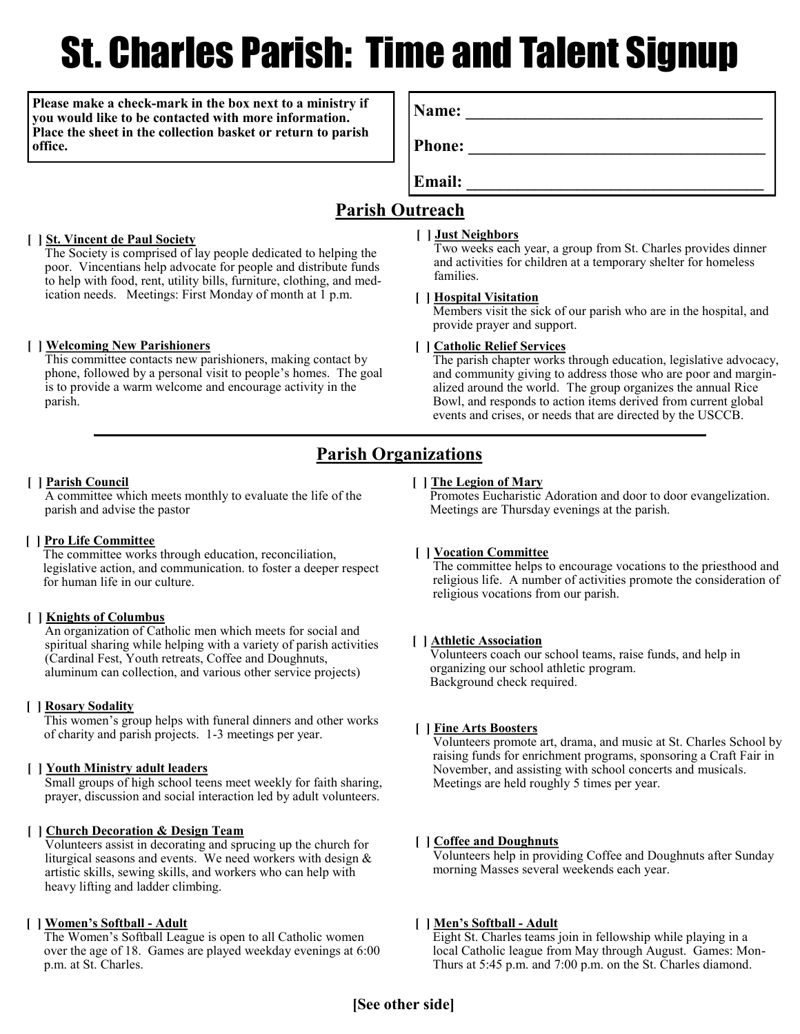# St. Charles Parish: Time and Talent Signup

**Please make a check-mark in the box next to a ministry if you would like to be contacted with more information. Place the sheet in the collection basket or return to parish office.**

**Name: \_\_\_\_\_\_\_\_\_\_\_\_\_\_\_\_\_\_\_\_\_\_\_\_\_\_\_\_\_\_\_\_\_\_\_**

**Phone: \_\_\_\_\_\_\_\_\_\_\_\_\_\_\_\_\_\_\_\_\_\_\_\_\_\_\_\_\_\_\_\_\_\_\_**

**Email: \_\_\_\_\_\_\_\_\_\_\_\_\_\_\_\_\_\_\_\_\_\_\_\_\_\_\_\_\_\_\_\_\_\_\_**

# **Parish Outreach**

#### **[ ] St. Vincent de Paul Society**

The Society is comprised of lay people dedicated to helping the poor. Vincentians help advocate for people and distribute funds to help with food, rent, utility bills, furniture, clothing, and medication needs. Meetings: First Monday of month at 1 p.m.

#### **[ ] Welcoming New Parishioners**

This committee contacts new parishioners, making contact by phone, followed by a personal visit to people's homes. The goal is to provide a warm welcome and encourage activity in the parish.

#### **[ ] Just Neighbors**

Two weeks each year, a group from St. Charles provides dinner and activities for children at a temporary shelter for homeless families.

#### **[ ] Hospital Visitation**

Members visit the sick of our parish who are in the hospital, and provide prayer and support.

#### **[ ] Catholic Relief Services**

The parish chapter works through education, legislative advocacy, and community giving to address those who are poor and marginalized around the world. The group organizes the annual Rice Bowl, and responds to action items derived from current global events and crises, or needs that are directed by the USCCB.

# **Parish Organizations**

#### **[ ] Parish Council**

A committee which meets monthly to evaluate the life of the parish and advise the pastor

#### **[ ] Pro Life Committee**

The committee works through education, reconciliation, legislative action, and communication. to foster a deeper respect for human life in our culture.

#### **[ ] Knights of Columbus**

An organization of Catholic men which meets for social and spiritual sharing while helping with a variety of parish activities (Cardinal Fest, Youth retreats, Coffee and Doughnuts, aluminum can collection, and various other service projects)

#### **[ ] Rosary Sodality**

This women's group helps with funeral dinners and other works of charity and parish projects. 1-3 meetings per year. **[ ] Fine Arts Boosters**

#### **[ ] Youth Ministry adult leaders**

Small groups of high school teens meet weekly for faith sharing, prayer, discussion and social interaction led by adult volunteers.

#### **[ ] Church Decoration & Design Team**

Volunteers assist in decorating and sprucing up the church for liturgical seasons and events. We need workers with design  $\&$ artistic skills, sewing skills, and workers who can help with heavy lifting and ladder climbing.

#### **[ ] Women's Softball - Adult**

The Women's Softball League is open to all Catholic women over the age of 18. Games are played weekday evenings at 6:00 p.m. at St. Charles.

#### **[ ] The Legion of Mary**

Promotes Eucharistic Adoration and door to door evangelization. Meetings are Thursday evenings at the parish.

#### **[ ] Vocation Committee**

The committee helps to encourage vocations to the priesthood and religious life. A number of activities promote the consideration of religious vocations from our parish.

#### **[ ] Athletic Association**

Volunteers coach our school teams, raise funds, and help in organizing our school athletic program. Background check required.

Volunteers promote art, drama, and music at St. Charles School by raising funds for enrichment programs, sponsoring a Craft Fair in November, and assisting with school concerts and musicals. Meetings are held roughly 5 times per year.

#### **[ ] Coffee and Doughnuts**

Volunteers help in providing Coffee and Doughnuts after Sunday morning Masses several weekends each year.

#### **[ ] Men's Softball - Adult**

Eight St. Charles teams join in fellowship while playing in a local Catholic league from May through August. Games: Mon-Thurs at 5:45 p.m. and 7:00 p.m. on the St. Charles diamond.